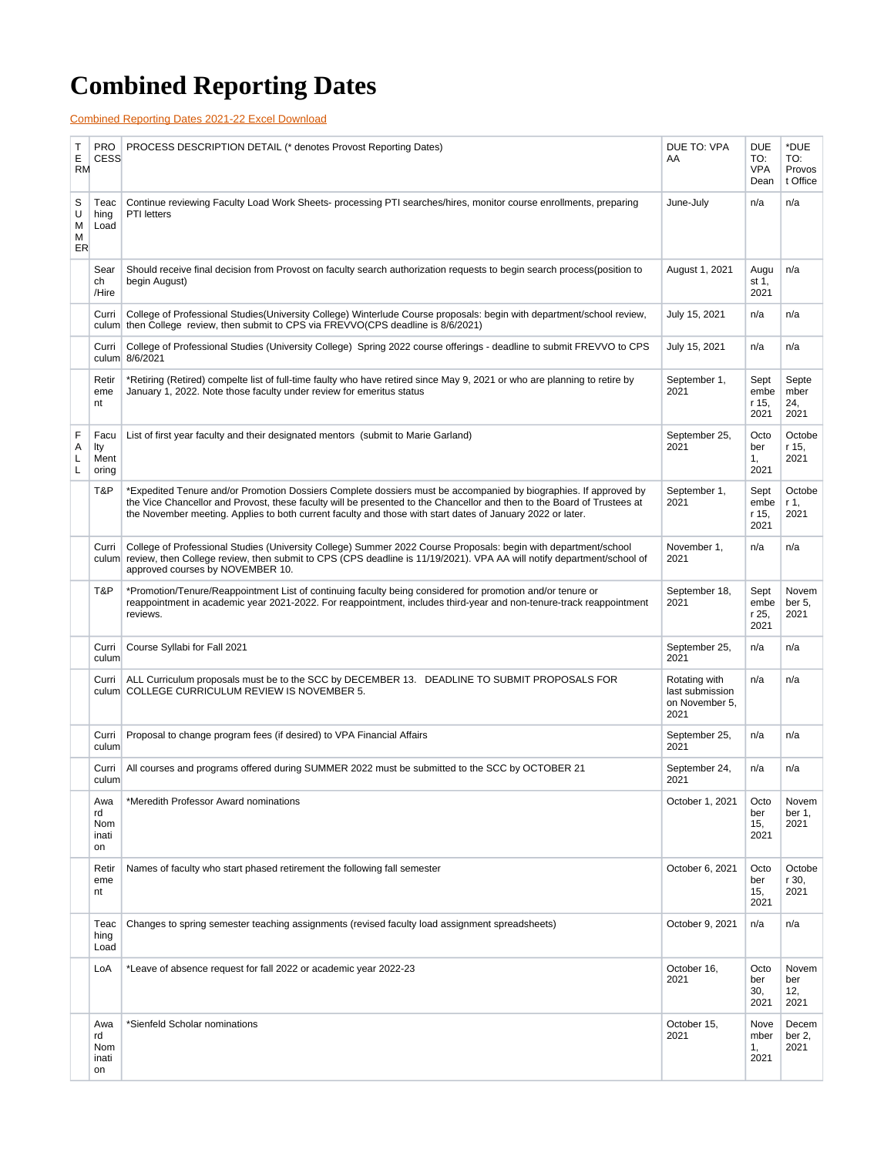## **Combined Reporting Dates**

[Combined Reporting Dates 2021-22 Excel Download](https://answers.syr.edu/download/attachments/91521560/AY21%2022%20Combined%20Reporting%20Dates1.xlsx?version=1&modificationDate=1646840741000&api=v2)

| Τ<br>Е<br><b>RM</b>    | <b>PRO</b><br><b>CESS</b>       | PROCESS DESCRIPTION DETAIL (* denotes Provost Reporting Dates)                                                                                                                                                                                                                                                                                            | DUE TO: VPA<br>AA                                          | DUE<br>TO:<br>VPA<br>Dean     | *DUE<br>TO:<br>Provos<br>t Office |
|------------------------|---------------------------------|-----------------------------------------------------------------------------------------------------------------------------------------------------------------------------------------------------------------------------------------------------------------------------------------------------------------------------------------------------------|------------------------------------------------------------|-------------------------------|-----------------------------------|
| S<br>U<br>M<br>M<br>ER | Teac<br>hing<br>Load            | Continue reviewing Faculty Load Work Sheets- processing PTI searches/hires, monitor course enrollments, preparing<br><b>PTI</b> letters                                                                                                                                                                                                                   | June-July                                                  | n/a                           | n/a                               |
|                        | Sear<br>ch<br>/Hire             | Should receive final decision from Provost on faculty search authorization requests to begin search process (position to<br>begin August)                                                                                                                                                                                                                 | August 1, 2021                                             | Augu<br>st 1,<br>2021         | n/a                               |
|                        | Curri                           | College of Professional Studies (University College) Winterlude Course proposals: begin with department/school review,<br>culum then College review, then submit to CPS via FREVVO(CPS deadline is 8/6/2021)                                                                                                                                              | July 15, 2021                                              | n/a                           | n/a                               |
|                        | Curri                           | College of Professional Studies (University College) Spring 2022 course offerings - deadline to submit FREVVO to CPS<br>culum 8/6/2021                                                                                                                                                                                                                    | July 15, 2021                                              | n/a                           | n/a                               |
|                        | Retir<br>eme<br>nt              | *Retiring (Retired) compelte list of full-time faulty who have retired since May 9, 2021 or who are planning to retire by<br>January 1, 2022. Note those faculty under review for emeritus status                                                                                                                                                         | September 1,<br>2021                                       | Sept<br>embe<br>r 15.<br>2021 | Septe<br>mber<br>24,<br>2021      |
| F<br>Α<br>L<br>Г       | Facu<br>lty<br>Ment<br>oring    | List of first year faculty and their designated mentors (submit to Marie Garland)                                                                                                                                                                                                                                                                         | September 25,<br>2021                                      | Octo<br>ber<br>1,<br>2021     | Octobe<br>r 15,<br>2021           |
|                        | T&P                             | *Expedited Tenure and/or Promotion Dossiers Complete dossiers must be accompanied by biographies. If approved by<br>the Vice Chancellor and Provost, these faculty will be presented to the Chancellor and then to the Board of Trustees at<br>the November meeting. Applies to both current faculty and those with start dates of January 2022 or later. | September 1,<br>2021                                       | Sept<br>embe<br>r 15,<br>2021 | Octobe<br>r 1,<br>2021            |
|                        | Curri<br>culum                  | College of Professional Studies (University College) Summer 2022 Course Proposals: begin with department/school<br>review, then College review, then submit to CPS (CPS deadline is 11/19/2021). VPA AA will notify department/school of<br>approved courses by NOVEMBER 10.                                                                              | November 1,<br>2021                                        | n/a                           | n/a                               |
|                        | T&P                             | *Promotion/Tenure/Reappointment List of continuing faculty being considered for promotion and/or tenure or<br>reappointment in academic year 2021-2022. For reappointment, includes third-year and non-tenure-track reappointment<br>reviews.                                                                                                             | September 18,<br>2021                                      | Sept<br>embe<br>r 25,<br>2021 | Novem<br>ber 5,<br>2021           |
|                        | Curri<br>culum                  | Course Syllabi for Fall 2021                                                                                                                                                                                                                                                                                                                              | September 25,<br>2021                                      | n/a                           | n/a                               |
|                        | Curri                           | ALL Curriculum proposals must be to the SCC by DECEMBER 13. DEADLINE TO SUBMIT PROPOSALS FOR<br>culum COLLEGE CURRICULUM REVIEW IS NOVEMBER 5.                                                                                                                                                                                                            | Rotating with<br>last submission<br>on November 5,<br>2021 | n/a                           | n/a                               |
|                        | Curri<br>culum                  | Proposal to change program fees (if desired) to VPA Financial Affairs                                                                                                                                                                                                                                                                                     | September 25,<br>2021                                      | n/a                           | n/a                               |
|                        | Curri<br>culum                  | All courses and programs offered during SUMMER 2022 must be submitted to the SCC by OCTOBER 21                                                                                                                                                                                                                                                            | September 24,<br>2021                                      | n/a                           | n/a                               |
|                        | Awa<br>rd<br>Nom<br>inati<br>on | *Meredith Professor Award nominations                                                                                                                                                                                                                                                                                                                     | October 1, 2021                                            | Octo<br>ber<br>15,<br>2021    | Novem<br>ber 1,<br>2021           |
|                        | Retir<br>eme<br>nt              | Names of faculty who start phased retirement the following fall semester                                                                                                                                                                                                                                                                                  | October 6, 2021                                            | Octo<br>ber<br>15,<br>2021    | Octobe<br>r 30,<br>2021           |
|                        | Teac<br>hing<br>Load            | Changes to spring semester teaching assignments (revised faculty load assignment spreadsheets)                                                                                                                                                                                                                                                            | October 9, 2021                                            | n/a                           | n/a                               |
|                        | LoA                             | *Leave of absence request for fall 2022 or academic year 2022-23                                                                                                                                                                                                                                                                                          | October 16,<br>2021                                        | Octo<br>ber<br>30,<br>2021    | Novem<br>ber<br>12,<br>2021       |
|                        | Awa<br>rd<br>Nom<br>inati<br>on | *Sienfeld Scholar nominations                                                                                                                                                                                                                                                                                                                             | October 15,<br>2021                                        | Nove<br>mber<br>1,<br>2021    | Decem<br>ber 2,<br>2021           |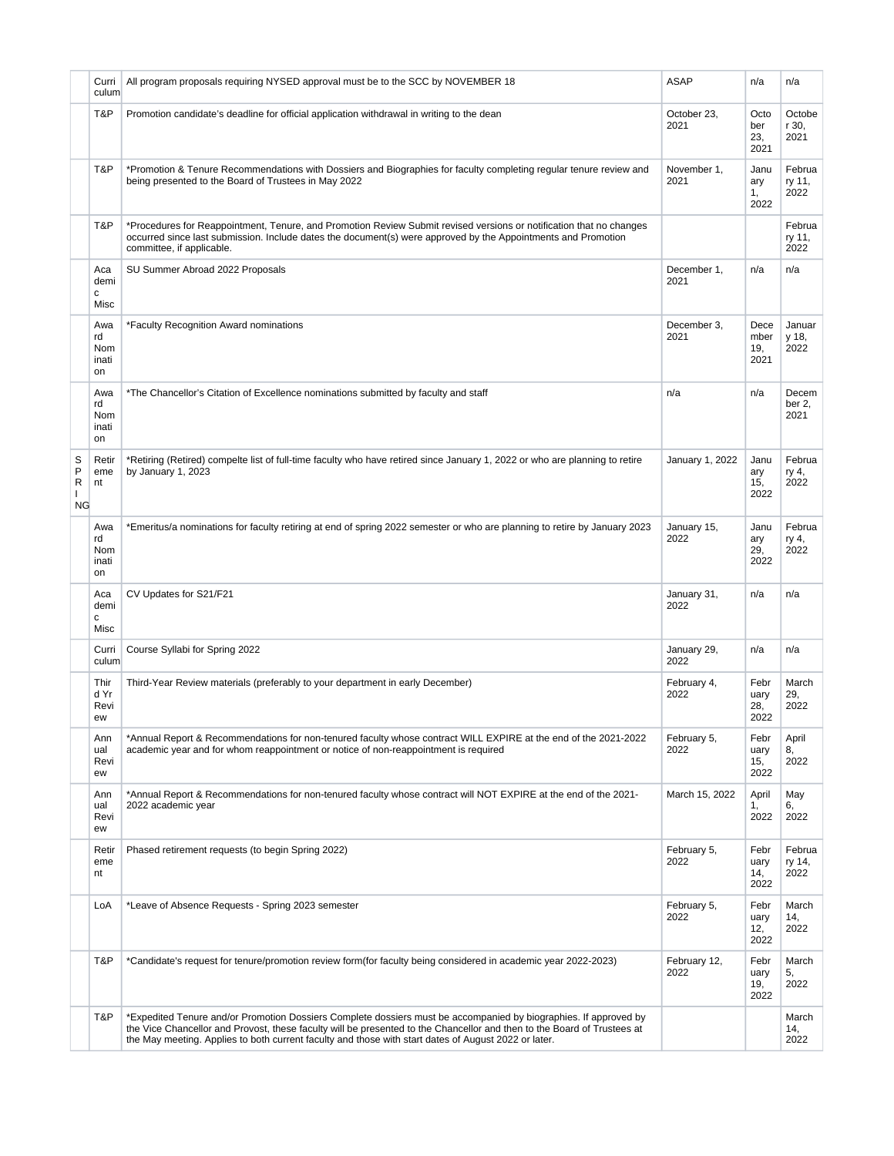|                        | Curri<br>culum                  | All program proposals requiring NYSED approval must be to the SCC by NOVEMBER 18                                                                                                                                                                                                                                                                    | <b>ASAP</b>          | n/a                         | n/a                      |
|------------------------|---------------------------------|-----------------------------------------------------------------------------------------------------------------------------------------------------------------------------------------------------------------------------------------------------------------------------------------------------------------------------------------------------|----------------------|-----------------------------|--------------------------|
|                        | T&P                             | Promotion candidate's deadline for official application withdrawal in writing to the dean                                                                                                                                                                                                                                                           | October 23,<br>2021  | Octo<br>ber<br>23,<br>2021  | Octobe<br>r 30,<br>2021  |
|                        | T&P                             | *Promotion & Tenure Recommendations with Dossiers and Biographies for faculty completing regular tenure review and<br>being presented to the Board of Trustees in May 2022                                                                                                                                                                          | November 1,<br>2021  | Janu<br>ary<br>1,<br>2022   | Februa<br>ry 11,<br>2022 |
|                        | T&P                             | *Procedures for Reappointment, Tenure, and Promotion Review Submit revised versions or notification that no changes<br>occurred since last submission. Include dates the document(s) were approved by the Appointments and Promotion<br>committee, if applicable.                                                                                   |                      |                             | Februa<br>ry 11,<br>2022 |
|                        | Aca<br>demi<br>с<br>Misc        | SU Summer Abroad 2022 Proposals                                                                                                                                                                                                                                                                                                                     | December 1,<br>2021  | n/a                         | n/a                      |
|                        | Awa<br>rd<br>Nom<br>inati<br>on | *Faculty Recognition Award nominations                                                                                                                                                                                                                                                                                                              | December 3,<br>2021  | Dece<br>mber<br>19,<br>2021 | Januar<br>y 18,<br>2022  |
|                        | Awa<br>rd<br>Nom<br>inati<br>on | *The Chancellor's Citation of Excellence nominations submitted by faculty and staff                                                                                                                                                                                                                                                                 | n/a                  | n/a                         | Decem<br>ber 2,<br>2021  |
| S<br>P<br>R<br>L<br>ΝG | Retir<br>eme<br>nt              | *Retiring (Retired) compelte list of full-time faculty who have retired since January 1, 2022 or who are planning to retire<br>by January 1, 2023                                                                                                                                                                                                   | January 1, 2022      | Janu<br>ary<br>15,<br>2022  | Februa<br>ry 4,<br>2022  |
|                        | Awa<br>rd<br>Nom<br>inati<br>on | *Emeritus/a nominations for faculty retiring at end of spring 2022 semester or who are planning to retire by January 2023                                                                                                                                                                                                                           | January 15,<br>2022  | Janu<br>ary<br>29,<br>2022  | Februa<br>ry 4,<br>2022  |
|                        | Aca<br>demi<br>c<br>Misc        | CV Updates for S21/F21                                                                                                                                                                                                                                                                                                                              | January 31,<br>2022  | n/a                         | n/a                      |
|                        | Curri<br>culum                  | Course Syllabi for Spring 2022                                                                                                                                                                                                                                                                                                                      | January 29,<br>2022  | n/a                         | n/a                      |
|                        | Thir<br>d Yr<br>Revi<br>ew      | Third-Year Review materials (preferably to your department in early December)                                                                                                                                                                                                                                                                       | February 4,<br>2022  | Febr<br>uary<br>28,<br>2022 | March<br>29,<br>2022     |
|                        | Ann<br>ual<br>Revi<br>ew        | *Annual Report & Recommendations for non-tenured faculty whose contract WILL EXPIRE at the end of the 2021-2022<br>academic year and for whom reappointment or notice of non-reappointment is required                                                                                                                                              | February 5,<br>2022  | Febr<br>uary<br>15,<br>2022 | April<br>8.<br>2022      |
|                        | Ann<br>ual<br>Revi<br>ew        | *Annual Report & Recommendations for non-tenured faculty whose contract will NOT EXPIRE at the end of the 2021-<br>2022 academic year                                                                                                                                                                                                               | March 15, 2022       | April<br>1,<br>2022         | May<br>6.<br>2022        |
|                        | Retir<br>eme<br>nt              | Phased retirement requests (to begin Spring 2022)                                                                                                                                                                                                                                                                                                   | February 5,<br>2022  | Febr<br>uary<br>14,<br>2022 | Februa<br>ry 14,<br>2022 |
|                        | LoA                             | *Leave of Absence Requests - Spring 2023 semester                                                                                                                                                                                                                                                                                                   | February 5,<br>2022  | Febr<br>uary<br>12,<br>2022 | March<br>14,<br>2022     |
|                        | T&P                             | *Candidate's request for tenure/promotion review form(for faculty being considered in academic year 2022-2023)                                                                                                                                                                                                                                      | February 12,<br>2022 | Febr<br>uary<br>19,<br>2022 | March<br>5,<br>2022      |
|                        | T&P                             | *Expedited Tenure and/or Promotion Dossiers Complete dossiers must be accompanied by biographies. If approved by<br>the Vice Chancellor and Provost, these faculty will be presented to the Chancellor and then to the Board of Trustees at<br>the May meeting. Applies to both current faculty and those with start dates of August 2022 or later. |                      |                             | March<br>14,<br>2022     |